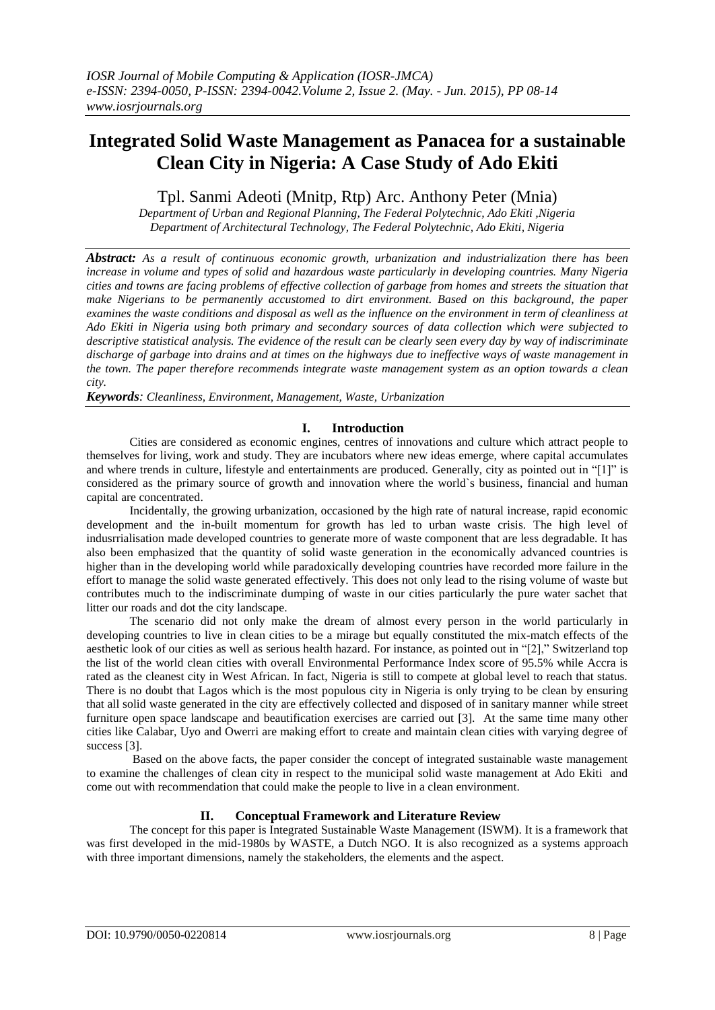# **Integrated Solid Waste Management as Panacea for a sustainable Clean City in Nigeria: A Case Study of Ado Ekiti**

Tpl. Sanmi Adeoti (Mnitp, Rtp) Arc. Anthony Peter (Mnia)

*Department of Urban and Regional Planning, The Federal Polytechnic, Ado Ekiti ,Nigeria Department of Architectural Technology, The Federal Polytechnic, Ado Ekiti, Nigeria*

*Abstract: As a result of continuous economic growth, urbanization and industrialization there has been increase in volume and types of solid and hazardous waste particularly in developing countries. Many Nigeria cities and towns are facing problems of effective collection of garbage from homes and streets the situation that make Nigerians to be permanently accustomed to dirt environment. Based on this background, the paper examines the waste conditions and disposal as well as the influence on the environment in term of cleanliness at Ado Ekiti in Nigeria using both primary and secondary sources of data collection which were subjected to descriptive statistical analysis. The evidence of the result can be clearly seen every day by way of indiscriminate discharge of garbage into drains and at times on the highways due to ineffective ways of waste management in the town. The paper therefore recommends integrate waste management system as an option towards a clean city.*

*Keywords: Cleanliness, Environment, Management, Waste, Urbanization*

## **I. Introduction**

Cities are considered as economic engines, centres of innovations and culture which attract people to themselves for living, work and study. They are incubators where new ideas emerge, where capital accumulates and where trends in culture, lifestyle and entertainments are produced. Generally, city as pointed out in "[1]" is considered as the primary source of growth and innovation where the world`s business, financial and human capital are concentrated.

Incidentally, the growing urbanization, occasioned by the high rate of natural increase, rapid economic development and the in-built momentum for growth has led to urban waste crisis. The high level of indusrrialisation made developed countries to generate more of waste component that are less degradable. It has also been emphasized that the quantity of solid waste generation in the economically advanced countries is higher than in the developing world while paradoxically developing countries have recorded more failure in the effort to manage the solid waste generated effectively. This does not only lead to the rising volume of waste but contributes much to the indiscriminate dumping of waste in our cities particularly the pure water sachet that litter our roads and dot the city landscape.

The scenario did not only make the dream of almost every person in the world particularly in developing countries to live in clean cities to be a mirage but equally constituted the mix-match effects of the aesthetic look of our cities as well as serious health hazard. For instance, as pointed out in "[2]," Switzerland top the list of the world clean cities with overall Environmental Performance Index score of 95.5% while Accra is rated as the cleanest city in West African. In fact, Nigeria is still to compete at global level to reach that status. There is no doubt that Lagos which is the most populous city in Nigeria is only trying to be clean by ensuring that all solid waste generated in the city are effectively collected and disposed of in sanitary manner while street furniture open space landscape and beautification exercises are carried out [3]. At the same time many other cities like Calabar, Uyo and Owerri are making effort to create and maintain clean cities with varying degree of success [3].

Based on the above facts, the paper consider the concept of integrated sustainable waste management to examine the challenges of clean city in respect to the municipal solid waste management at Ado Ekiti and come out with recommendation that could make the people to live in a clean environment.

## **II. Conceptual Framework and Literature Review**

The concept for this paper is Integrated Sustainable Waste Management (ISWM). It is a framework that was first developed in the mid-1980s by WASTE, a Dutch NGO. It is also recognized as a systems approach with three important dimensions, namely the stakeholders, the elements and the aspect.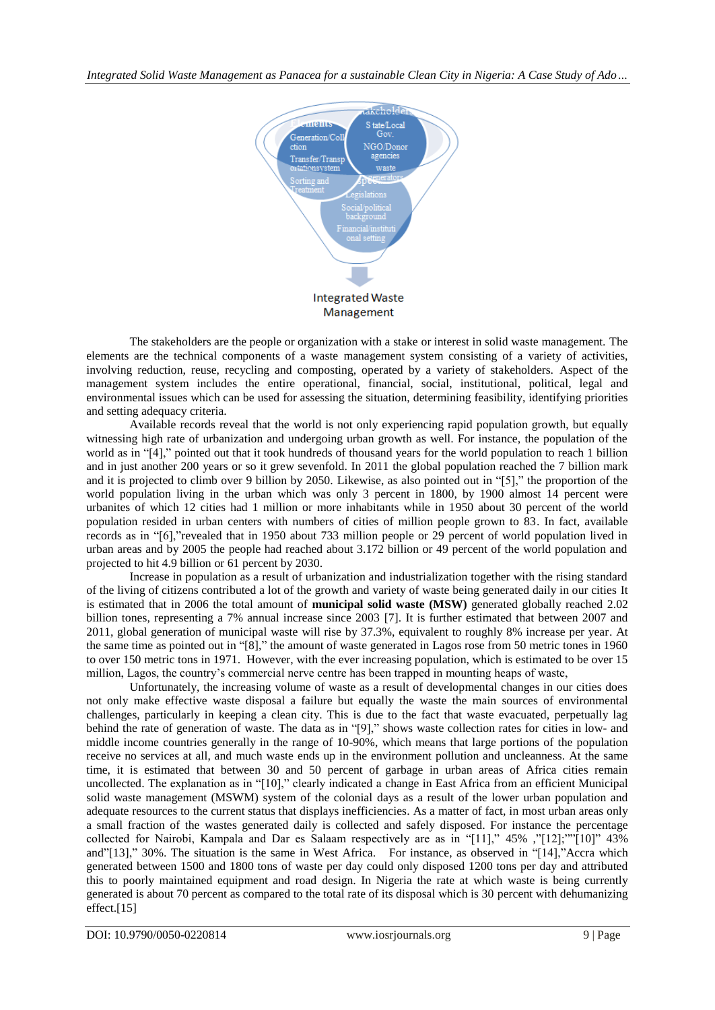

The stakeholders are the people or organization with a stake or interest in solid waste management. The elements are the technical components of a waste management system consisting of a variety of activities, involving reduction, reuse, recycling and composting, operated by a variety of stakeholders. Aspect of the management system includes the entire operational, financial, social, institutional, political, legal and environmental issues which can be used for assessing the situation, determining feasibility, identifying priorities and setting adequacy criteria.

Available records reveal that the world is not only experiencing rapid population growth, but equally witnessing high rate of urbanization and undergoing urban growth as well. For instance, the population of the world as in "[4]," pointed out that it took hundreds of thousand years for the world population to reach 1 billion and in just another 200 years or so it grew sevenfold. In 2011 the global population reached the 7 billion mark and it is projected to climb over 9 billion by 2050. Likewise, as also pointed out in "[5]," the proportion of the world population living in the urban which was only 3 percent in 1800, by 1900 almost 14 percent were urbanites of which 12 cities had 1 million or more inhabitants while in 1950 about 30 percent of the world population resided in urban centers with numbers of cities of million people grown to 83. In fact, available records as in "[6],"revealed that in 1950 about 733 million people or 29 percent of world population lived in urban areas and by 2005 the people had reached about 3.172 billion or 49 percent of the world population and projected to hit 4.9 billion or 61 percent by 2030.

Increase in population as a result of urbanization and industrialization together with the rising standard of the living of citizens contributed a lot of the growth and variety of waste being generated daily in our cities It is estimated that in 2006 the total amount of **municipal solid waste (MSW)** generated globally reached 2.02 billion tones, representing a 7% annual increase since 2003 [7]. It is further estimated that between 2007 and 2011, global generation of municipal waste will rise by 37.3%, equivalent to roughly 8% increase per year. At the same time as pointed out in "[8]," the amount of waste generated in Lagos rose from 50 metric tones in 1960 to over 150 metric tons in 1971. However, with the ever increasing population, which is estimated to be over 15 million, Lagos, the country's commercial nerve centre has been trapped in mounting heaps of waste,

Unfortunately, the increasing volume of waste as a result of developmental changes in our cities does not only make effective waste disposal a failure but equally the waste the main sources of environmental challenges, particularly in keeping a clean city. This is due to the fact that waste evacuated, perpetually lag behind the rate of generation of waste. The data as in "[9]," shows waste collection rates for cities in low- and middle income countries generally in the range of 10-90%, which means that large portions of the population receive no services at all, and much waste ends up in the environment pollution and uncleanness. At the same time, it is estimated that between 30 and 50 percent of garbage in urban areas of Africa cities remain uncollected. The explanation as in "[10]," clearly indicated a change in East Africa from an efficient Municipal solid waste management (MSWM) system of the colonial days as a result of the lower urban population and adequate resources to the current status that displays inefficiencies. As a matter of fact, in most urban areas only a small fraction of the wastes generated daily is collected and safely disposed. For instance the percentage collected for Nairobi, Kampala and Dar es Salaam respectively are as in "[11]," 45% ,"[12];""[10]" 43% and"[13]," 30%. The situation is the same in West Africa. For instance, as observed in "[14],"Accra which generated between 1500 and 1800 tons of waste per day could only disposed 1200 tons per day and attributed this to poorly maintained equipment and road design. In Nigeria the rate at which waste is being currently generated is about 70 percent as compared to the total rate of its disposal which is 30 percent with dehumanizing effect.[15]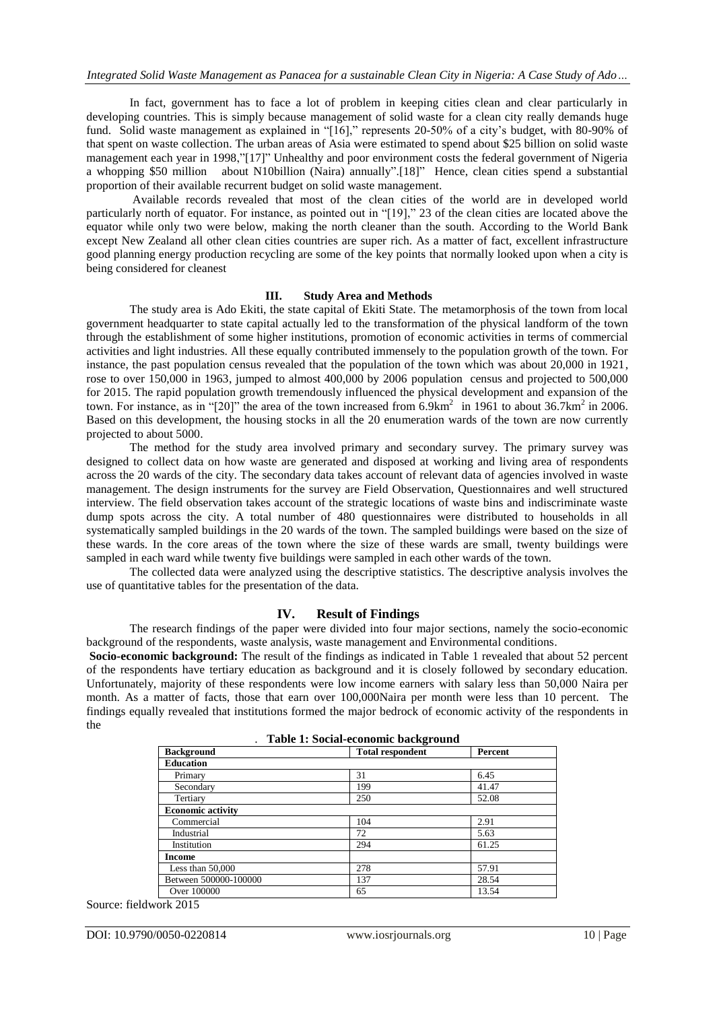In fact, government has to face a lot of problem in keeping cities clean and clear particularly in developing countries. This is simply because management of solid waste for a clean city really demands huge fund. Solid waste management as explained in "[16]," represents 20-50% of a city's budget, with 80-90% of that spent on waste collection. The urban areas of Asia were estimated to spend about \$25 billion on solid waste management each year in 1998,"[17]" Unhealthy and poor environment costs the federal government of Nigeria a whopping \$50 million about N10billion (Naira) annually".[18]" Hence, clean cities spend a substantial proportion of their available recurrent budget on solid waste management.

Available records revealed that most of the clean cities of the world are in developed world particularly north of equator. For instance, as pointed out in "[19]," 23 of the clean cities are located above the equator while only two were below, making the north cleaner than the south. According to the World Bank except New Zealand all other clean cities countries are super rich. As a matter of fact, excellent infrastructure good planning energy production recycling are some of the key points that normally looked upon when a city is being considered for cleanest

#### **III. Study Area and Methods**

The study area is Ado Ekiti, the state capital of Ekiti State. The metamorphosis of the town from local government headquarter to state capital actually led to the transformation of the physical landform of the town through the establishment of some higher institutions, promotion of economic activities in terms of commercial activities and light industries. All these equally contributed immensely to the population growth of the town. For instance, the past population census revealed that the population of the town which was about 20,000 in 1921, rose to over 150,000 in 1963, jumped to almost 400,000 by 2006 population census and projected to 500,000 for 2015. The rapid population growth tremendously influenced the physical development and expansion of the town. For instance, as in "[20]" the area of the town increased from  $6.9 \text{km}^2$  in 1961 to about 36.7km<sup>2</sup> in 2006. Based on this development, the housing stocks in all the 20 enumeration wards of the town are now currently projected to about 5000.

The method for the study area involved primary and secondary survey. The primary survey was designed to collect data on how waste are generated and disposed at working and living area of respondents across the 20 wards of the city. The secondary data takes account of relevant data of agencies involved in waste management. The design instruments for the survey are Field Observation, Questionnaires and well structured interview. The field observation takes account of the strategic locations of waste bins and indiscriminate waste dump spots across the city. A total number of 480 questionnaires were distributed to households in all systematically sampled buildings in the 20 wards of the town. The sampled buildings were based on the size of these wards. In the core areas of the town where the size of these wards are small, twenty buildings were sampled in each ward while twenty five buildings were sampled in each other wards of the town.

The collected data were analyzed using the descriptive statistics. The descriptive analysis involves the use of quantitative tables for the presentation of the data.

#### **IV. Result of Findings**

The research findings of the paper were divided into four major sections, namely the socio-economic background of the respondents, waste analysis, waste management and Environmental conditions.

**Socio-economic background:** The result of the findings as indicated in Table 1 revealed that about 52 percent of the respondents have tertiary education as background and it is closely followed by secondary education. Unfortunately, majority of these respondents were low income earners with salary less than 50,000 Naira per month. As a matter of facts, those that earn over 100,000Naira per month were less than 10 percent. The findings equally revealed that institutions formed the major bedrock of economic activity of the respondents in the

| Table 1: Social-economic background |                         |         |  |
|-------------------------------------|-------------------------|---------|--|
| <b>Background</b>                   | <b>Total respondent</b> | Percent |  |
| <b>Education</b>                    |                         |         |  |
| Primary                             | 31                      | 6.45    |  |
| Secondary                           | 199                     | 41.47   |  |
| Tertiary                            | 250                     | 52.08   |  |
| <b>Economic activity</b>            |                         |         |  |
| Commercial                          | 104                     | 2.91    |  |
| Industrial                          | 72                      | 5.63    |  |
| Institution                         | 294                     | 61.25   |  |
| <b>Income</b>                       |                         |         |  |
| Less than $50,000$                  | 278                     | 57.91   |  |
| Between 500000-100000               | 137                     | 28.54   |  |
| Over 100000                         | 65                      | 13.54   |  |

Source: fieldwork 2015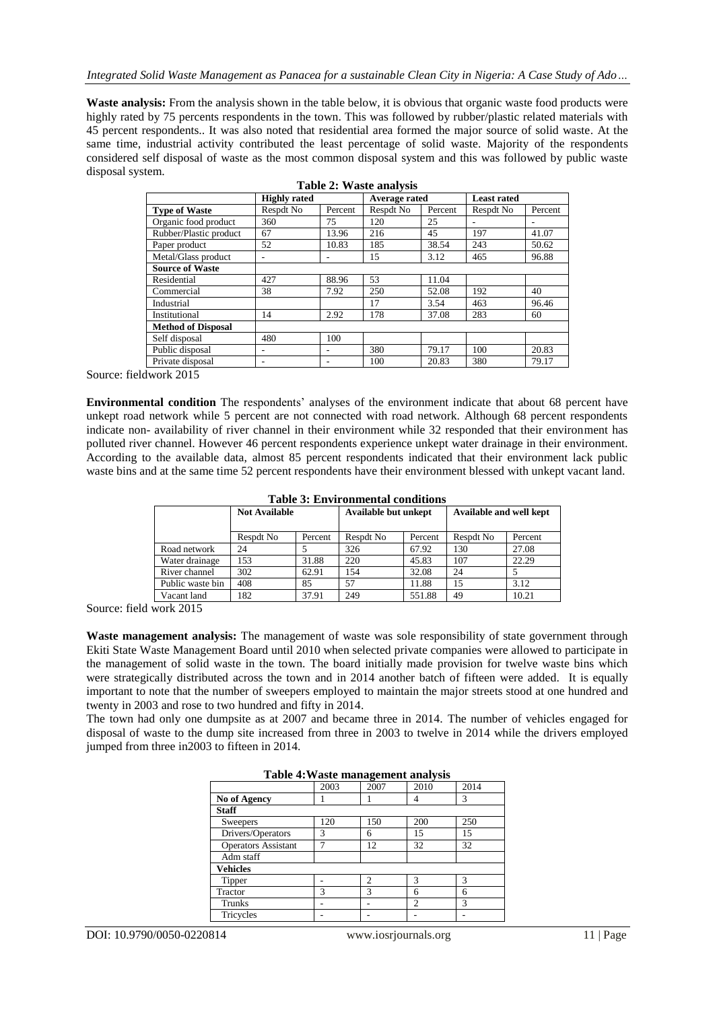**Waste analysis:** From the analysis shown in the table below, it is obvious that organic waste food products were highly rated by 75 percents respondents in the town. This was followed by rubber/plastic related materials with 45 percent respondents.. It was also noted that residential area formed the major source of solid waste. At the same time, industrial activity contributed the least percentage of solid waste. Majority of the respondents considered self disposal of waste as the most common disposal system and this was followed by public waste disposal system.

**Table 2: Waste analysis**

| $1$ avit $2$ . $\gamma$ asit analysis |                     |         |               |         |                    |         |  |  |
|---------------------------------------|---------------------|---------|---------------|---------|--------------------|---------|--|--|
|                                       | <b>Highly rated</b> |         | Average rated |         | <b>Least rated</b> |         |  |  |
| <b>Type of Waste</b>                  | Respdt No           | Percent | Respdt No     | Percent | Respdt No          | Percent |  |  |
| Organic food product                  | 360                 | 75      | 120           | 25      |                    |         |  |  |
| Rubber/Plastic product                | 67                  | 13.96   | 216           | 45      | 197                | 41.07   |  |  |
| Paper product                         | 52                  | 10.83   | 185           | 38.54   | 243                | 50.62   |  |  |
| Metal/Glass product                   |                     |         | 15            | 3.12    | 465                | 96.88   |  |  |
| <b>Source of Waste</b>                |                     |         |               |         |                    |         |  |  |
| Residential                           | 427                 | 88.96   | 53            | 11.04   |                    |         |  |  |
| Commercial                            | 38                  | 7.92    | 250           | 52.08   | 192                | 40      |  |  |
| Industrial                            |                     |         | 17            | 3.54    | 463                | 96.46   |  |  |
| Institutional                         | 14                  | 2.92    | 178           | 37.08   | 283                | 60      |  |  |
| <b>Method of Disposal</b>             |                     |         |               |         |                    |         |  |  |
| Self disposal                         | 480                 | 100     |               |         |                    |         |  |  |
| Public disposal                       | ۰                   |         | 380           | 79.17   | 100                | 20.83   |  |  |
| Private disposal                      | ۰                   |         | 100           | 20.83   | 380                | 79.17   |  |  |

Source: fieldwork 2015

**Environmental condition** The respondents' analyses of the environment indicate that about 68 percent have unkept road network while 5 percent are not connected with road network. Although 68 percent respondents indicate non- availability of river channel in their environment while 32 responded that their environment has polluted river channel. However 46 percent respondents experience unkept water drainage in their environment. According to the available data, almost 85 percent respondents indicated that their environment lack public waste bins and at the same time 52 percent respondents have their environment blessed with unkept vacant land.

| таріс э. епунушнентаг социнону |                      |         |                             |         |                         |         |  |
|--------------------------------|----------------------|---------|-----------------------------|---------|-------------------------|---------|--|
|                                | <b>Not Available</b> |         | <b>Available but unkept</b> |         | Available and well kept |         |  |
|                                | Respdt No            | Percent | Respdt No                   | Percent | Respdt No               | Percent |  |
| Road network                   | 24                   |         | 326                         | 67.92   | 130                     | 27.08   |  |
| Water drainage                 | 153                  | 31.88   | 220                         | 45.83   | 107                     | 22.29   |  |
| River channel                  | 302                  | 62.91   | 154                         | 32.08   | 24                      |         |  |
| Public waste bin               | 408                  | 85      | 57                          | 11.88   | 15                      | 3.12    |  |
| Vacant land                    | 182                  | 37.91   | 249                         | 551.88  | 49                      | 10.21   |  |

**Table 3: Environmental conditions**

Source: field work 2015

**Waste management analysis:** The management of waste was sole responsibility of state government through Ekiti State Waste Management Board until 2010 when selected private companies were allowed to participate in the management of solid waste in the town. The board initially made provision for twelve waste bins which were strategically distributed across the town and in 2014 another batch of fifteen were added. It is equally important to note that the number of sweepers employed to maintain the major streets stood at one hundred and twenty in 2003 and rose to two hundred and fifty in 2014.

The town had only one dumpsite as at 2007 and became three in 2014. The number of vehicles engaged for disposal of waste to the dump site increased from three in 2003 to twelve in 2014 while the drivers employed jumped from three in2003 to fifteen in 2014.

| 1 abie 4: Waste management analysis |              |                |                |               |  |
|-------------------------------------|--------------|----------------|----------------|---------------|--|
|                                     | 2003         | 2007           | 2010           | 2014          |  |
| No of Agency                        |              |                | 4              | 3             |  |
| <b>Staff</b>                        |              |                |                |               |  |
| Sweepers                            | 120          | 150            | 200            | 250           |  |
| Drivers/Operators                   | 3            | 6              | 15             | 15            |  |
| <b>Operators Assistant</b>          | 7            | 12             | 32             | 32            |  |
| Adm staff                           |              |                |                |               |  |
| <b>Vehicles</b>                     |              |                |                |               |  |
| Tipper                              |              | $\overline{c}$ | 3              | $\mathcal{R}$ |  |
| Tractor                             | $\mathbf{3}$ | 3              | 6              | 6             |  |
| Trunks                              |              |                | $\overline{c}$ | $\mathcal{R}$ |  |
| Tricycles                           |              |                |                |               |  |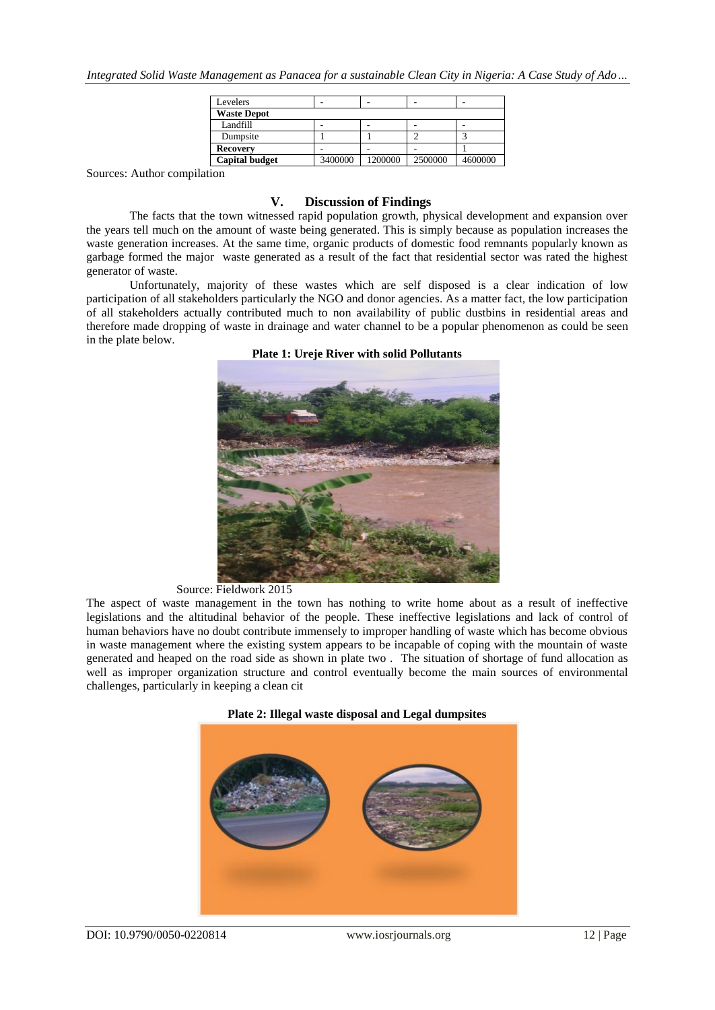| Levelers              |         |         |         |         |  |
|-----------------------|---------|---------|---------|---------|--|
| <b>Waste Depot</b>    |         |         |         |         |  |
| Landfill              |         | ۰       |         | -       |  |
| Dumpsite              |         |         |         |         |  |
| <b>Recovery</b>       |         |         |         |         |  |
| <b>Capital budget</b> | 3400000 | 1200000 | 2500000 | 4600000 |  |

Sources: Author compilation

### **V. Discussion of Findings**

The facts that the town witnessed rapid population growth, physical development and expansion over the years tell much on the amount of waste being generated. This is simply because as population increases the waste generation increases. At the same time, organic products of domestic food remnants popularly known as garbage formed the major waste generated as a result of the fact that residential sector was rated the highest generator of waste.

Unfortunately, majority of these wastes which are self disposed is a clear indication of low participation of all stakeholders particularly the NGO and donor agencies. As a matter fact, the low participation of all stakeholders actually contributed much to non availability of public dustbins in residential areas and therefore made dropping of waste in drainage and water channel to be a popular phenomenon as could be seen in the plate below.

**Plate 1: Ureje River with solid Pollutants**



#### Source: Fieldwork 2015

The aspect of waste management in the town has nothing to write home about as a result of ineffective legislations and the altitudinal behavior of the people. These ineffective legislations and lack of control of human behaviors have no doubt contribute immensely to improper handling of waste which has become obvious in waste management where the existing system appears to be incapable of coping with the mountain of waste generated and heaped on the road side as shown in plate two . The situation of shortage of fund allocation as well as improper organization structure and control eventually become the main sources of environmental challenges, particularly in keeping a clean cit



**Plate 2: Illegal waste disposal and Legal dumpsites**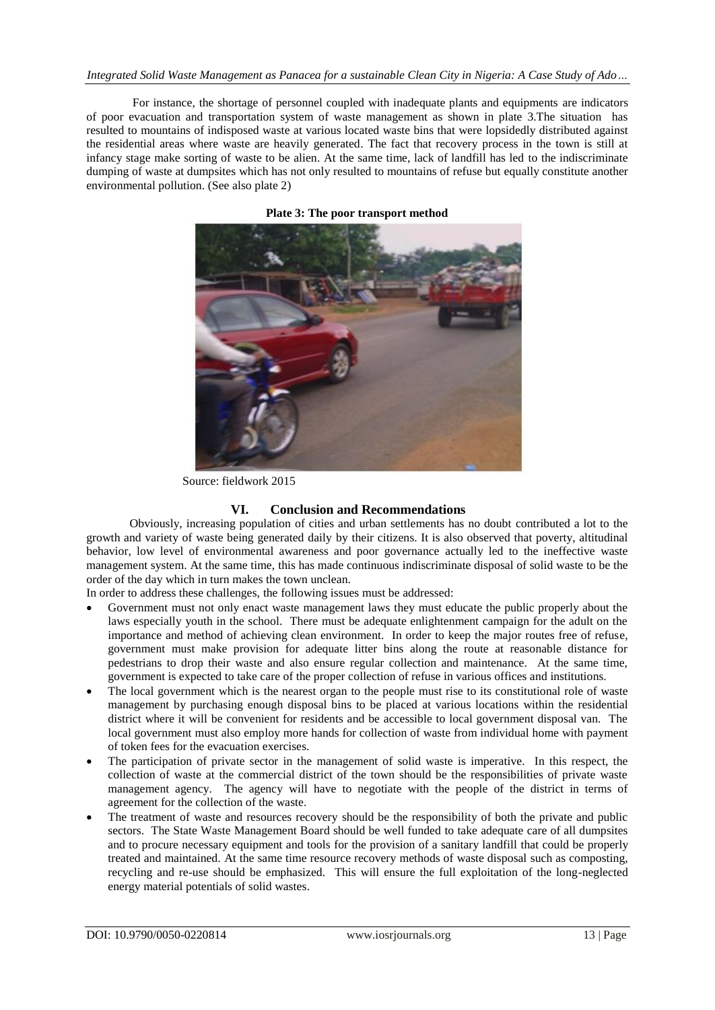For instance, the shortage of personnel coupled with inadequate plants and equipments are indicators of poor evacuation and transportation system of waste management as shown in plate 3.The situation has resulted to mountains of indisposed waste at various located waste bins that were lopsidedly distributed against the residential areas where waste are heavily generated. The fact that recovery process in the town is still at infancy stage make sorting of waste to be alien. At the same time, lack of landfill has led to the indiscriminate dumping of waste at dumpsites which has not only resulted to mountains of refuse but equally constitute another environmental pollution. (See also plate 2)



**Plate 3: The poor transport method**

Source: fieldwork 2015

# **VI. Conclusion and Recommendations**

Obviously, increasing population of cities and urban settlements has no doubt contributed a lot to the growth and variety of waste being generated daily by their citizens. It is also observed that poverty, altitudinal behavior, low level of environmental awareness and poor governance actually led to the ineffective waste management system. At the same time, this has made continuous indiscriminate disposal of solid waste to be the order of the day which in turn makes the town unclean.

In order to address these challenges, the following issues must be addressed:

- Government must not only enact waste management laws they must educate the public properly about the laws especially youth in the school. There must be adequate enlightenment campaign for the adult on the importance and method of achieving clean environment. In order to keep the major routes free of refuse, government must make provision for adequate litter bins along the route at reasonable distance for pedestrians to drop their waste and also ensure regular collection and maintenance. At the same time, government is expected to take care of the proper collection of refuse in various offices and institutions.
- The local government which is the nearest organ to the people must rise to its constitutional role of waste management by purchasing enough disposal bins to be placed at various locations within the residential district where it will be convenient for residents and be accessible to local government disposal van. The local government must also employ more hands for collection of waste from individual home with payment of token fees for the evacuation exercises.
- The participation of private sector in the management of solid waste is imperative. In this respect, the collection of waste at the commercial district of the town should be the responsibilities of private waste management agency. The agency will have to negotiate with the people of the district in terms of agreement for the collection of the waste.
- The treatment of waste and resources recovery should be the responsibility of both the private and public sectors. The State Waste Management Board should be well funded to take adequate care of all dumpsites and to procure necessary equipment and tools for the provision of a sanitary landfill that could be properly treated and maintained. At the same time resource recovery methods of waste disposal such as composting, recycling and re-use should be emphasized. This will ensure the full exploitation of the long-neglected energy material potentials of solid wastes.